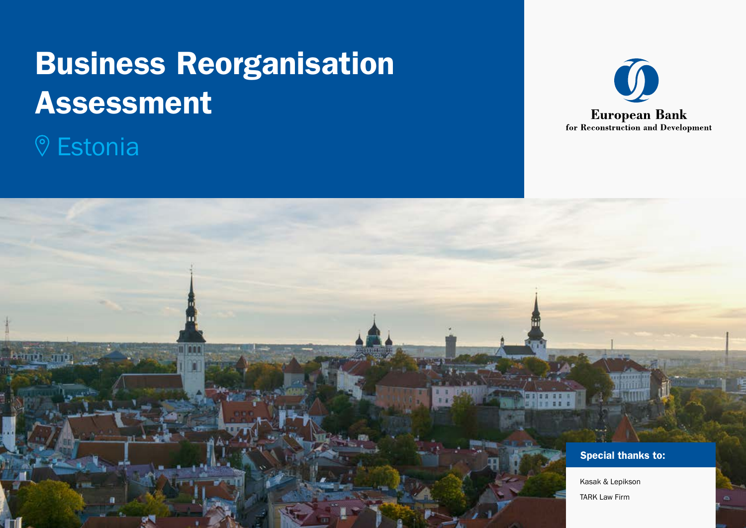# Business Reorganisation Assessment

# **V** Estonia



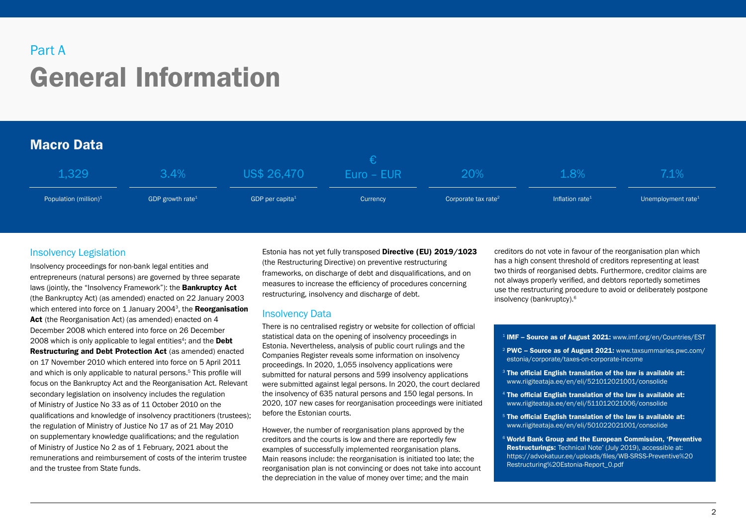## General Information Part A

## Macro Data

| $1,329$ ,                | 3.4%                         | US\$ 26,470                 | Euro – EUR | 20%                             | $1.8\%$                     | 7.1%                           |
|--------------------------|------------------------------|-----------------------------|------------|---------------------------------|-----------------------------|--------------------------------|
| Population (million) $1$ | GDP growth rate <sup>1</sup> | GDP per capita <sup>1</sup> | Currency   | Corporate tax rate <sup>2</sup> | Inflation rate <sup>1</sup> | Unemployment rate <sup>1</sup> |
|                          |                              |                             |            |                                 |                             |                                |

## Insolvency Legislation

Insolvency proceedings for non-bank legal entities and entrepreneurs (natural persons) are governed by three separate laws (jointly, the "Insolvency Framework"): the **Bankruptcy Act** (the Bankruptcy Act) (as amended) enacted on 22 January 2003 which entered into force on 1 January 2004<sup>3</sup>, the Reorganisation [Act](https://www.riigiteataja.ee/akt/104012021039) (the Reorganisation Act) (as amended) enacted on 4 December 2008 which entered into force on 26 December 2008 which is only applicable to legal entities<sup>4</sup>; and the **Debt** [Restructuring and Debt Protection Act](https://www.riigiteataja.ee/akt/104012021045) (as amended) enacted on 17 November 2010 which entered into force on 5 April 2011 and which is only applicable to natural persons.5 This profile will focus on the Bankruptcy Act and the Reorganisation Act. Relevant secondary legislation on insolvency includes the regulation of Ministry of Justice No 33 as of 11 October 2010 on the qualifications and knowledge of insolvency practitioners (trustees); the regulation of Ministry of Justice No 17 as of 21 May 2010 on supplementary knowledge qualifications; and the regulation of Ministry of Justice No 2 as of 1 February, 2021 about the remunerations and reimbursement of costs of the interim trustee and the trustee from State funds.

Estonia has not yet fully transposed [Directive \(EU\) 2019/1023](https://eur-lex.europa.eu/legal-content/EN/TXT/?uri=celex:32019L1023) (the Restructuring Directive) on preventive restructuring frameworks, on discharge of debt and disqualifications, and on measures to increase the efficiency of procedures concerning restructuring, insolvency and discharge of debt.

## Insolvency Data

There is no centralised registry or website for collection of official statistical data on the opening of insolvency proceedings in Estonia. Nevertheless, analysis of public court rulings and the Companies Register reveals some information on insolvency proceedings. In 2020, 1,055 insolvency applications were submitted for natural persons and 599 insolvency applications were submitted against legal persons. In 2020, the court declared the insolvency of 635 natural persons and 150 legal persons. In 2020, 107 new cases for reorganisation proceedings were initiated before the Estonian courts.

However, the number of reorganisation plans approved by the creditors and the courts is low and there are reportedly few examples of successfully implemented reorganisation plans. Main reasons include: the reorganisation is initiated too late; the reorganisation plan is not convincing or does not take into account the depreciation in the value of money over time; and the main

creditors do not vote in favour of the reorganisation plan which has a high consent threshold of creditors representing at least two thirds of reorganised debts. Furthermore, creditor claims are not always properly verified, and debtors reportedly sometimes use the restructuring procedure to avoid or deliberately postpone insolvency (bankruptcy).6

#### <sup>1</sup> IMF - Source as of August 2021: www.imf.org/en/Countries/EST

- <sup>2</sup> PWC Source as of August 2021: www.taxsummaries.pwc.com/ estonia/corporate/taxes-on-corporate-income
- $3$  The official English translation of the law is available at: [www.riigiteataja.ee/en/eli/521012021001/consolide](http://www.riigiteataja.ee/en/eli/521012021001/consolide)
- $4$  The official English translation of the law is available at: [www.riigiteataja.ee/en/eli/511012021006/consolide](http://www.riigiteataja.ee/en/eli/511012021006/consolide)
- $5$  The official English translation of the law is available at: [www.riigiteataja.ee/en/eli/501022021001/consolide](http://www.riigiteataja.ee/en/eli/501022021001/consolide)
- <sup>6</sup> World Bank Group and the European Commission, 'Preventive Restructurings: Technical Note' (July 2019), accessible at: [https://advokatuur.ee/uploads/files/WB-SRSS-Preventive%20](https://advokatuur.ee/uploads/files/WB-SRSS-Preventive%20Restructuring%20Estonia-Report_0.pdf) [Restructuring%20Estonia-Report\\_0.pdf](https://advokatuur.ee/uploads/files/WB-SRSS-Preventive%20Restructuring%20Estonia-Report_0.pdf)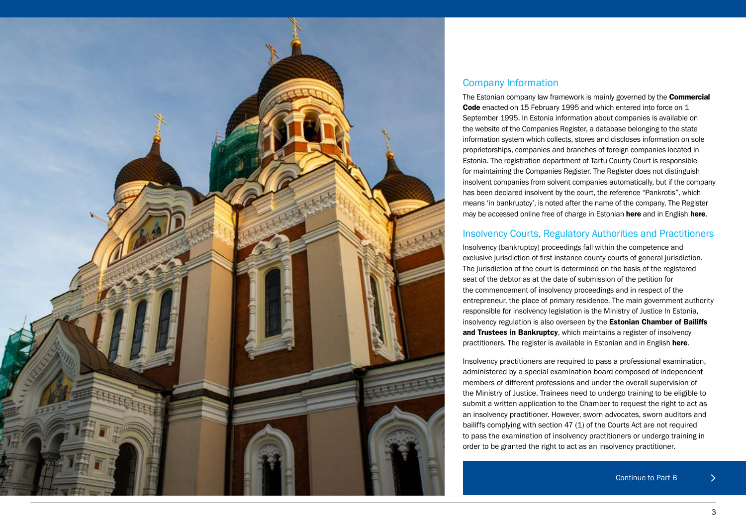

## Company Information

The Estonian company law framework is mainly governed by the **Commercial** [Code](https://www.riigiteataja.ee/en/eli/511012021004/consolide) enacted on 15 February 1995 and which entered into force on 1 September 1995. In Estonia information about companies is available on the website of the Companies Register, a database belonging to the state information system which collects, stores and discloses information on sole proprietorships, companies and branches of foreign companies located in Estonia. The registration department of Tartu County Court is responsible for maintaining the Companies Register. The Register does not distinguish insolvent companies from solvent companies automatically, but if the company has been declared insolvent by the court, the reference "Pankrotis", which means 'in bankruptcy', is noted after the name of the company. The Register may be accessed online free of charge in Estonian [here](https://ariregister.rik.ee/) and in English [here](https://ariregister.rik.ee/index?lang=eng).

## Insolvency Courts, Regulatory Authorities and Practitioners

Insolvency (bankruptcy) proceedings fall within the competence and exclusive jurisdiction of first instance county courts of general jurisdiction. The jurisdiction of the court is determined on the basis of the registered seat of the debtor as at the date of submission of the petition for the commencement of insolvency proceedings and in respect of the entrepreneur, the place of primary residence. The main government authority responsible for insolvency legislation is the Ministry of Justice In Estonia, insolvency regulation is also overseen by the **Estonian Chamber of Bailiffs** [and Trustees in Bankruptcy](https://kpkoda.ee/en/chamber/), which maintains a register of insolvency practitioners. The register is available in Estonian and in English [here](https://kpkoda.ee/pankrotihaldurid/pankrotihaldurid-kontakt/).

Insolvency practitioners are required to pass a professional examination, administered by a special examination board composed of independent members of different professions and under the overall supervision of the Ministry of Justice. Trainees need to undergo training to be eligible to submit a written application to the Chamber to request the right to act as an insolvency practitioner. However, sworn advocates, sworn auditors and bailiffs complying with section 47 (1) of the Courts Act are not required to pass the examination of insolvency practitioners or undergo training in order to be granted the right to act as an insolvency practitioner.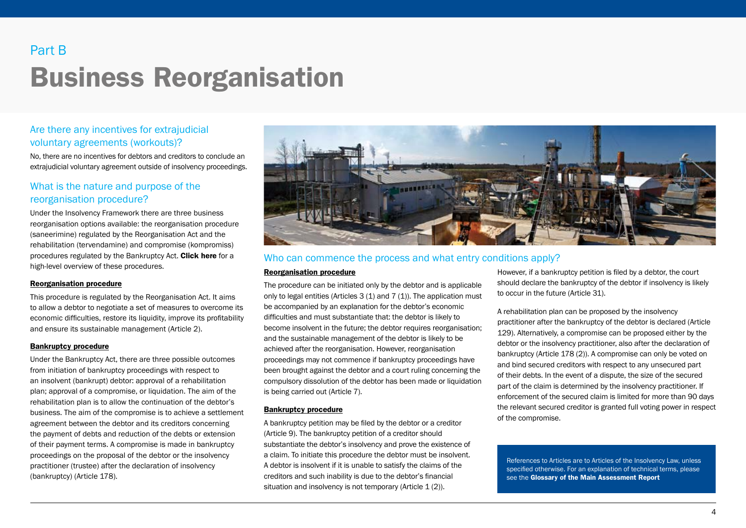## Business Reorganisation Part B

## Are there any incentives for extrajudicial voluntary agreements (workouts)?

No, there are no incentives for debtors and creditors to conclude an extrajudicial voluntary agreement outside of insolvency proceedings.

## What is the nature and purpose of the reorganisation procedure?

Under the Insolvency Framework there are three business reorganisation options available: the reorganisation procedure (saneerimine) regulated by the Reorganisation Act and the rehabilitation (tervendamine) and compromise (kompromiss) procedures regulated by the Bankruptcy Act. [Click here](#page-7-0) for a high-level overview of these procedures.

#### Reorganisation procedure

This procedure is regulated by the Reorganisation Act. It aims to allow a debtor to negotiate a set of measures to overcome its economic difficulties, restore its liquidity, improve its profitability and ensure its sustainable management (Article 2).

#### Bankruptcy procedure

Under the Bankruptcy Act, there are three possible outcomes from initiation of bankruptcy proceedings with respect to an insolvent (bankrupt) debtor: approval of a rehabilitation plan; approval of a compromise, or liquidation. The aim of the rehabilitation plan is to allow the continuation of the debtor's business. The aim of the compromise is to achieve a settlement agreement between the debtor and its creditors concerning the payment of debts and reduction of the debts or extension of their payment terms. A compromise is made in bankruptcy proceedings on the proposal of the debtor or the insolvency practitioner (trustee) after the declaration of insolvency (bankruptcy) (Article 178).



## Who can commence the process and what entry conditions apply?

#### Reorganisation procedure

The procedure can be initiated only by the debtor and is applicable only to legal entities (Articles  $3(1)$  and  $7(1)$ ). The application must be accompanied by an explanation for the debtor's economic difficulties and must substantiate that: the debtor is likely to become insolvent in the future; the debtor requires reorganisation; and the sustainable management of the debtor is likely to be achieved after the reorganisation. However, reorganisation proceedings may not commence if bankruptcy proceedings have been brought against the debtor and a court ruling concerning the compulsory dissolution of the debtor has been made or liquidation is being carried out (Article 7).

#### Bankruptcy procedure

A bankruptcy petition may be filed by the debtor or a creditor (Article 9). The bankruptcy petition of a creditor should substantiate the debtor's insolvency and prove the existence of a claim. To initiate this procedure the debtor must be insolvent. A debtor is insolvent if it is unable to satisfy the claims of the creditors and such inability is due to the debtor's financial situation and insolvency is not temporary (Article 1 (2)).

However, if a bankruptcy petition is filed by a debtor, the court should declare the bankruptcy of the debtor if insolvency is likely to occur in the future (Article 31).

A rehabilitation plan can be proposed by the insolvency practitioner after the bankruptcy of the debtor is declared (Article 129). Alternatively, a compromise can be proposed either by the debtor or the insolvency practitioner, also after the declaration of bankruptcy (Article 178 (2)). A compromise can only be voted on and bind secured creditors with respect to any unsecured part of their debts. In the event of a dispute, the size of the secured part of the claim is determined by the insolvency practitioner. If enforcement of the secured claim is limited for more than 90 days the relevant secured creditor is granted full voting power in respect of the compromise.

References to Articles are to Articles of the Insolvency Law, unless specified otherwise. For an explanation of technical terms, please see the Glossary of the Main Assessment Report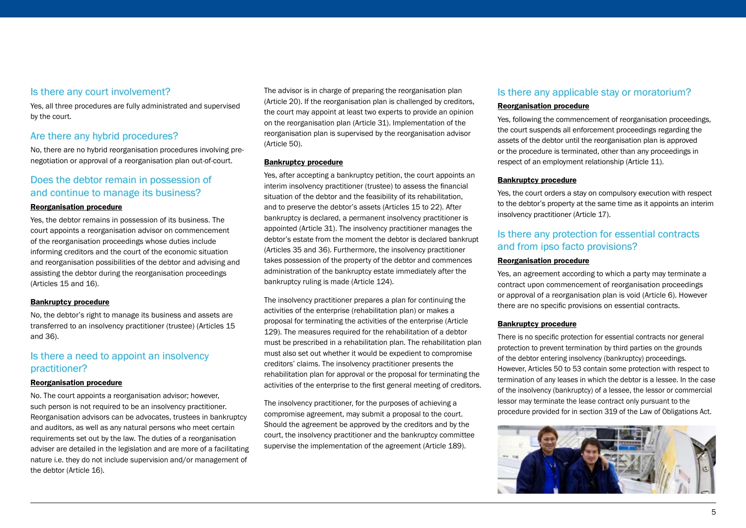Yes, all three procedures are fully administrated and supervised by the court.

## Are there any hybrid procedures?

No, there are no hybrid reorganisation procedures involving prenegotiation or approval of a reorganisation plan out-of-court.

## Does the debtor remain in possession of and continue to manage its business?

## Reorganisation procedure

Yes, the debtor remains in possession of its business. The court appoints a reorganisation advisor on commencement of the reorganisation proceedings whose duties include informing creditors and the court of the economic situation and reorganisation possibilities of the debtor and advising and assisting the debtor during the reorganisation proceedings (Articles 15 and 16).

## Bankruptcy procedure

No, the debtor's right to manage its business and assets are transferred to an insolvency practitioner (trustee) (Articles 15 and 36).

## Is there a need to appoint an insolvency practitioner?

## Reorganisation procedure

No. The court appoints a reorganisation advisor; however, such person is not required to be an insolvency practitioner. Reorganisation advisors can be advocates, trustees in bankruptcy and auditors, as well as any natural persons who meet certain requirements set out by the law. The duties of a reorganisation adviser are detailed in the legislation and are more of a facilitating nature i.e. they do not include supervision and/or management of the debtor (Article 16).

The advisor is in charge of preparing the reorganisation plan (Article 20). If the reorganisation plan is challenged by creditors, the court may appoint at least two experts to provide an opinion on the reorganisation plan (Article 31). Implementation of the reorganisation plan is supervised by the reorganisation advisor (Article 50).

## Bankruptcy procedure

Yes, after accepting a bankruptcy petition, the court appoints an interim insolvency practitioner (trustee) to assess the financial situation of the debtor and the feasibility of its rehabilitation, and to preserve the debtor's assets (Articles 15 to 22). After bankruptcy is declared, a permanent insolvency practitioner is appointed (Article 31). The insolvency practitioner manages the debtor's estate from the moment the debtor is declared bankrupt (Articles 35 and 36). Furthermore, the insolvency practitioner takes possession of the property of the debtor and commences administration of the bankruptcy estate immediately after the bankruptcy ruling is made (Article 124).

The insolvency practitioner prepares a plan for continuing the activities of the enterprise (rehabilitation plan) or makes a proposal for terminating the activities of the enterprise (Article 129). The measures required for the rehabilitation of a debtor must be prescribed in a rehabilitation plan. The rehabilitation plan must also set out whether it would be expedient to compromise creditors' claims. The insolvency practitioner presents the rehabilitation plan for approval or the proposal for terminating the activities of the enterprise to the first general meeting of creditors.

The insolvency practitioner, for the purposes of achieving a compromise agreement, may submit a proposal to the court. Should the agreement be approved by the creditors and by the court, the insolvency practitioner and the bankruptcy committee supervise the implementation of the agreement (Article 189).

## Is there any applicable stay or moratorium?

## Reorganisation procedure

Yes, following the commencement of reorganisation proceedings, the court suspends all enforcement proceedings regarding the assets of the debtor until the reorganisation plan is approved or the procedure is terminated, other than any proceedings in respect of an employment relationship (Article 11).

#### Bankruptcy procedure

Yes, the court orders a stay on compulsory execution with respect to the debtor's property at the same time as it appoints an interim insolvency practitioner (Article 17).

## Is there any protection for essential contracts and from ipso facto provisions?

#### Reorganisation procedure

Yes, an agreement according to which a party may terminate a contract upon commencement of reorganisation proceedings or approval of a reorganisation plan is void (Article 6). However there are no specific provisions on essential contracts.

#### Bankruptcy procedure

There is no specific protection for essential contracts nor general protection to prevent termination by third parties on the grounds of the debtor entering insolvency (bankruptcy) proceedings. However, Articles 50 to 53 contain some protection with respect to termination of any leases in which the debtor is a lessee. In the case of the insolvency (bankruptcy) of a lessee, the lessor or commercial lessor may terminate the lease contract only pursuant to the procedure provided for in section 319 of the Law of Obligations Act.

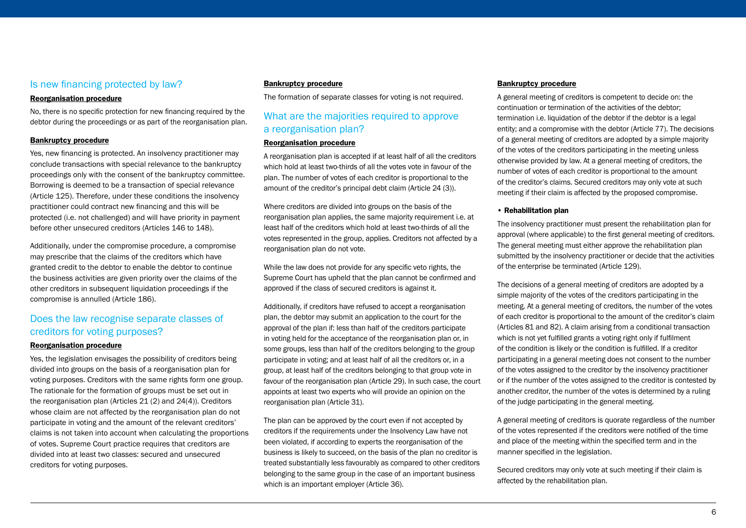## Is new financing protected by law?

#### Reorganisation procedure

No, there is no specific protection for new financing required by the debtor during the proceedings or as part of the reorganisation plan.

#### Bankruptcy procedure

Yes, new financing is protected. An insolvency practitioner may conclude transactions with special relevance to the bankruptcy proceedings only with the consent of the bankruptcy committee. Borrowing is deemed to be a transaction of special relevance (Article 125). Therefore, under these conditions the insolvency practitioner could contract new financing and this will be protected (i.e. not challenged) and will have priority in payment before other unsecured creditors (Articles 146 to 148).

Additionally, under the compromise procedure, a compromise may prescribe that the claims of the creditors which have granted credit to the debtor to enable the debtor to continue the business activities are given priority over the claims of the other creditors in subsequent liquidation proceedings if the compromise is annulled (Article 186).

## Does the law recognise separate classes of creditors for voting purposes?

#### Reorganisation procedure

Yes, the legislation envisages the possibility of creditors being divided into groups on the basis of a reorganisation plan for voting purposes. Creditors with the same rights form one group. The rationale for the formation of groups must be set out in the reorganisation plan (Articles 21 (2) and 24(4)). Creditors whose claim are not affected by the reorganisation plan do not participate in voting and the amount of the relevant creditors' claims is not taken into account when calculating the proportions of votes. Supreme Court practice requires that creditors are divided into at least two classes: secured and unsecured creditors for voting purposes.

#### Bankruptcy procedure

The formation of separate classes for voting is not required.

## What are the majorities required to approve a reorganisation plan?

#### Reorganisation procedure

A reorganisation plan is accepted if at least half of all the creditors which hold at least two-thirds of all the votes vote in favour of the plan. The number of votes of each creditor is proportional to the amount of the creditor's principal debt claim (Article 24 (3)).

Where creditors are divided into groups on the basis of the reorganisation plan applies, the same majority requirement i.e. at least half of the creditors which hold at least two-thirds of all the votes represented in the group, applies. Creditors not affected by a reorganisation plan do not vote.

While the law does not provide for any specific veto rights, the Supreme Court has upheld that the plan cannot be confirmed and approved if the class of secured creditors is against it.

Additionally, if creditors have refused to accept a reorganisation plan, the debtor may submit an application to the court for the approval of the plan if: less than half of the creditors participate in voting held for the acceptance of the reorganisation plan or, in some groups, less than half of the creditors belonging to the group participate in voting; and at least half of all the creditors or, in a group, at least half of the creditors belonging to that group vote in favour of the reorganisation plan (Article 29). In such case, the court appoints at least two experts who will provide an opinion on the reorganisation plan (Article 31).

The plan can be approved by the court even if not accepted by creditors if the requirements under the Insolvency Law have not been violated, if according to experts the reorganisation of the business is likely to succeed, on the basis of the plan no creditor is treated substantially less favourably as compared to other creditors belonging to the same group in the case of an important business which is an important employer (Article 36).

#### Bankruptcy procedure

A general meeting of creditors is competent to decide on: the continuation or termination of the activities of the debtor; termination i.e. liquidation of the debtor if the debtor is a legal entity; and a compromise with the debtor (Article 77). The decisions of a general meeting of creditors are adopted by a simple majority of the votes of the creditors participating in the meeting unless otherwise provided by law. At a general meeting of creditors, the number of votes of each creditor is proportional to the amount of the creditor's claims. Secured creditors may only vote at such meeting if their claim is affected by the proposed compromise.

#### • Rehabilitation plan

The insolvency practitioner must present the rehabilitation plan for approval (where applicable) to the first general meeting of creditors. The general meeting must either approve the rehabilitation plan submitted by the insolvency practitioner or decide that the activities of the enterprise be terminated (Article 129).

The decisions of a general meeting of creditors are adopted by a simple majority of the votes of the creditors participating in the meeting. At a general meeting of creditors, the number of the votes of each creditor is proportional to the amount of the creditor's claim (Articles 81 and 82). A claim arising from a conditional transaction which is not yet fulfilled grants a voting right only if fulfilment of the condition is likely or the condition is fulfilled. If a creditor participating in a general meeting does not consent to the number of the votes assigned to the creditor by the insolvency practitioner or if the number of the votes assigned to the creditor is contested by another creditor, the number of the votes is determined by a ruling of the judge participating in the general meeting.

A general meeting of creditors is quorate regardless of the number of the votes represented if the creditors were notified of the time and place of the meeting within the specified term and in the manner specified in the legislation.

Secured creditors may only vote at such meeting if their claim is affected by the rehabilitation plan.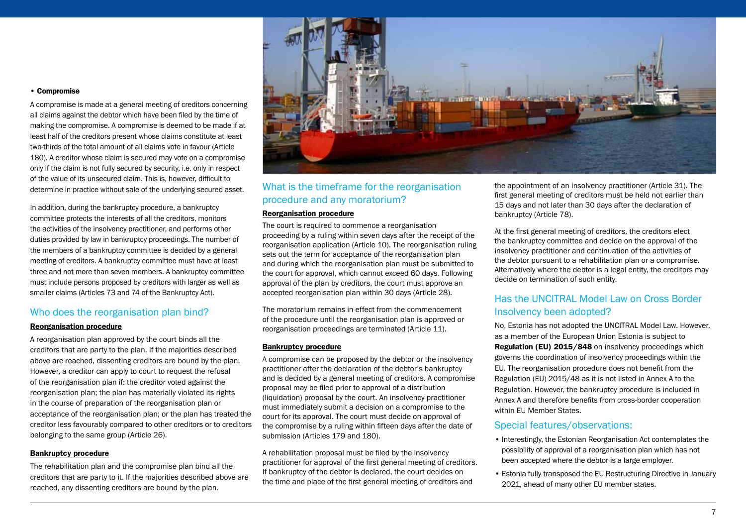#### • Compromise

A compromise is made at a general meeting of creditors concerning all claims against the debtor which have been filed by the time of making the compromise. A compromise is deemed to be made if at least half of the creditors present whose claims constitute at least two-thirds of the total amount of all claims vote in favour (Article 180). A creditor whose claim is secured may vote on a compromise only if the claim is not fully secured by security, i.e. only in respect of the value of its unsecured claim. This is, however, difficult to determine in practice without sale of the underlying secured asset.

In addition, during the bankruptcy procedure, a bankruptcy committee protects the interests of all the creditors, monitors the activities of the insolvency practitioner, and performs other duties provided by law in bankruptcy proceedings. The number of the members of a bankruptcy committee is decided by a general meeting of creditors. A bankruptcy committee must have at least three and not more than seven members. A bankruptcy committee must include persons proposed by creditors with larger as well as smaller claims (Articles 73 and 74 of the Bankruptcy Act).

## Who does the reorganisation plan bind?

#### Reorganisation procedure

A reorganisation plan approved by the court binds all the creditors that are party to the plan. If the majorities described above are reached, dissenting creditors are bound by the plan. However, a creditor can apply to court to request the refusal of the reorganisation plan if: the creditor voted against the reorganisation plan; the plan has materially violated its rights in the course of preparation of the reorganisation plan or acceptance of the reorganisation plan; or the plan has treated the creditor less favourably compared to other creditors or to creditors belonging to the same group (Article 26).

#### Bankruptcy procedure

The rehabilitation plan and the compromise plan bind all the creditors that are party to it. If the majorities described above are reached, any dissenting creditors are bound by the plan.



## What is the timeframe for the reorganisation procedure and any moratorium?

#### Reorganisation procedure

The court is required to commence a reorganisation proceeding by a ruling within seven days after the receipt of the reorganisation application (Article 10). The reorganisation ruling sets out the term for acceptance of the reorganisation plan and during which the reorganisation plan must be submitted to the court for approval, which cannot exceed 60 days. Following approval of the plan by creditors, the court must approve an accepted reorganisation plan within 30 days (Article 28).

The moratorium remains in effect from the commencement of the procedure until the reorganisation plan is approved or reorganisation proceedings are terminated (Article 11).

#### Bankruptcy procedure

A compromise can be proposed by the debtor or the insolvency practitioner after the declaration of the debtor's bankruptcy and is decided by a general meeting of creditors. A compromise proposal may be filed prior to approval of a distribution (liquidation) proposal by the court. An insolvency practitioner must immediately submit a decision on a compromise to the court for its approval. The court must decide on approval of the compromise by a ruling within fifteen days after the date of submission (Articles 179 and 180).

A rehabilitation proposal must be filed by the insolvency practitioner for approval of the first general meeting of creditors. If bankruptcy of the debtor is declared, the court decides on the time and place of the first general meeting of creditors and

the appointment of an insolvency practitioner (Article 31). The first general meeting of creditors must be held not earlier than 15 days and not later than 30 days after the declaration of bankruptcy (Article 78).

At the first general meeting of creditors, the creditors elect the bankruptcy committee and decide on the approval of the insolvency practitioner and continuation of the activities of the debtor pursuant to a rehabilitation plan or a compromise. Alternatively where the debtor is a legal entity, the creditors may decide on termination of such entity.

## Has the UNCITRAL Model Law on Cross Border Insolvency been adopted?

No, Estonia has not adopted the UNCITRAL Model Law. However, as a member of the European Union Estonia is subject to [Regulation \(EU\) 2015/848](https://eur-lex.europa.eu/legal-content/en/TXT/?uri=CELEX:32015R0848) on insolvency proceedings which governs the coordination of insolvency proceedings within the EU. The reorganisation procedure does not benefit from the Regulation (EU) 2015/48 as it is not listed in Annex A to the Regulation. However, the bankruptcy procedure is included in Annex A and therefore benefits from cross-border cooperation within EU Member States.

## Special features/observations:

- Interestingly, the Estonian Reorganisation Act contemplates the possibility of approval of a reorganisation plan which has not been accepted where the debtor is a large employer.
- Estonia fully transposed the EU Restructuring Directive in January 2021, ahead of many other EU member states.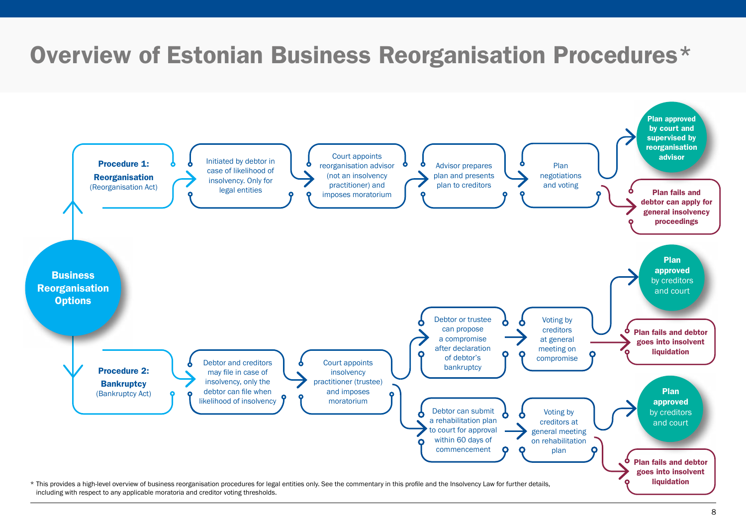# <span id="page-7-0"></span>Overview of Estonian Business Reorganisation Procedures\*